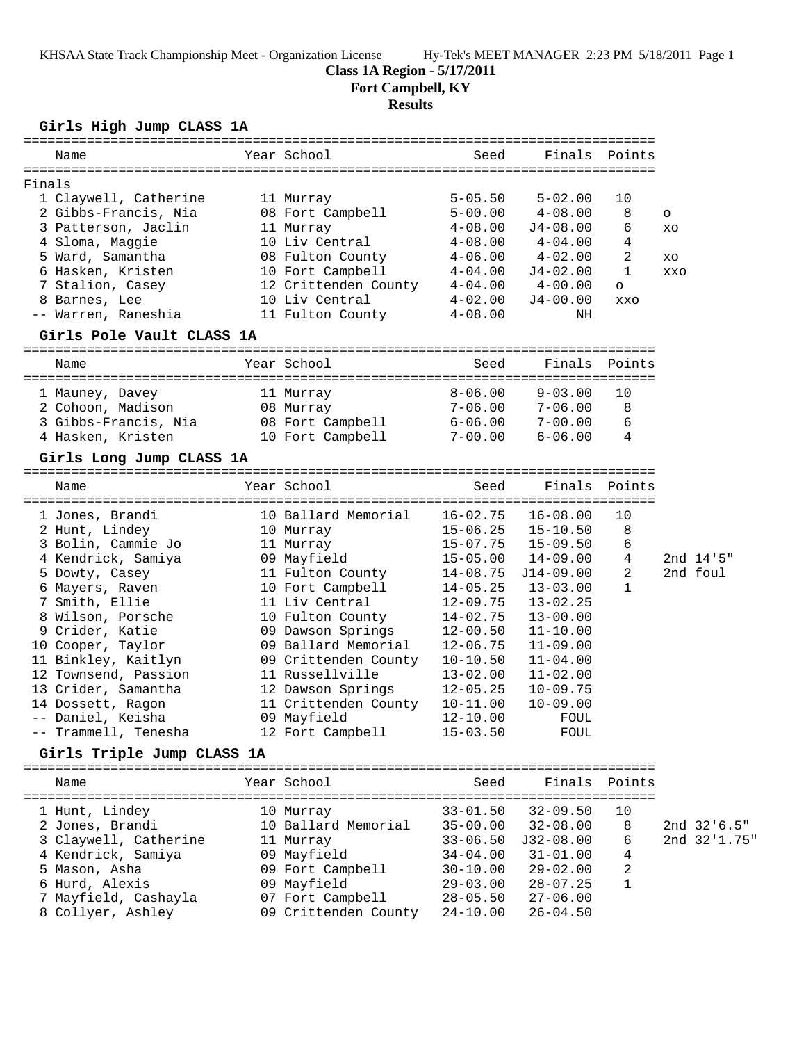#### **Class 1A Region - 5/17/2011**

**Fort Campbell, KY**

#### **Results**

# **Girls High Jump CLASS 1A**

| Name                                                    | Year School                      | Seed                    |                     | Finals Points |         |  |  |                                 |
|---------------------------------------------------------|----------------------------------|-------------------------|---------------------|---------------|---------|--|--|---------------------------------|
|                                                         |                                  |                         |                     |               |         |  |  |                                 |
| Finals                                                  |                                  |                         |                     |               |         |  |  |                                 |
| 1 Claywell, Catherine                                   | 11 Murray                        | $5 - 05.50$             | $5 - 02.00$         | 10            |         |  |  |                                 |
| 2 Gibbs-Francis, Nia                                    | 08 Fort Campbell 5-00.00         |                         | $4 - 08.00$         | 8             | $\circ$ |  |  |                                 |
| 3 Patterson, Jaclin                                     | 11 Murray                        | $4 - 08.00$             | J4-08.00            | 6             | XO      |  |  |                                 |
| 4 Sloma, Maggie                                         | 10 Liv Central                   | $4 - 08.00$             | $4-04.00$           | 4             |         |  |  |                                 |
| 5 Ward, Samantha                                        | 08 Fulton County 4-06.00 4-02.00 |                         |                     | 2             | XO      |  |  |                                 |
| 6 Hasken, Kristen                                       | 10 Fort Campbell 4-04.00         |                         | J4-02.00            | 1             | XXO     |  |  |                                 |
| 7 Stalion, Casey                                        | 12 Crittenden County 4-04.00     |                         | $4 - 00.00$         | $\circ$       |         |  |  |                                 |
| 8 Barnes, Lee                                           | 10 Liv Central                   | $4 - 02.00$             | $J4 - 00.00$        | XXO           |         |  |  |                                 |
| -- Warren, Raneshia                                     | 11 Fulton County 4-08.00         |                         | ΝH                  |               |         |  |  |                                 |
| Girls Pole Vault CLASS 1A                               |                                  |                         |                     |               |         |  |  |                                 |
| Name                                                    | Year School                      | Seed                    |                     | Finals Points |         |  |  |                                 |
|                                                         |                                  |                         |                     |               |         |  |  |                                 |
| 1 Mauney, Davey                                         | 11 Murray                        |                         | $8-06.00$ $9-03.00$ | 10            |         |  |  |                                 |
| 2 Cohoon, Madison                                       | 08 Murray                        | $7 - 06.00$ $7 - 06.00$ |                     | 8             |         |  |  |                                 |
| 3 Gibbs-Francis, Nia $08$ Fort Campbell 6-06.00 7-00.00 |                                  |                         |                     | 6             |         |  |  |                                 |
| 4 Hasken, Kristen 10 Fort Campbell 7-00.00              |                                  |                         | 6-06.00             | 4             |         |  |  |                                 |
| Girls Long Jump CLASS 1A                                |                                  |                         |                     |               |         |  |  |                                 |
| Name                                                    | Year School                      | Seed                    |                     | Finals Points |         |  |  |                                 |
| 1 Jones, Brandi                                         | 10 Ballard Memorial 16-02.75     |                         | $16 - 08.00$        | 10            |         |  |  |                                 |
| 2 Hunt, Lindey                                          | 10 Murray                        | $15-06.25$ $15-10.50$   |                     | 8             |         |  |  |                                 |
| 3 Bolin, Cammie Jo                                      |                                  | 15-07.75  15-09.50      |                     | 6             |         |  |  |                                 |
|                                                         | 11 Murray                        |                         |                     | 4             |         |  |  | 2nd 14'5"                       |
| 4 Kendrick, Samiya                                      | 09 Mayfield                      |                         | 15-05.00 14-09.00   |               |         |  |  |                                 |
| 5 Dowty, Casey                                          | 11 Fulton County                 |                         | 14-08.75 J14-09.00  | 2             |         |  |  | 2nd foul                        |
| 6 Mayers, Raven                                         | 10 Fort Campbell                 | $14 - 05.25$            | 13-03.00            | $\mathbf{1}$  |         |  |  |                                 |
| 7 Smith, Ellie                                          | 11 Liv Central                   | 12-09.75                | $13 - 02.25$        |               |         |  |  |                                 |
| 8 Wilson, Porsche                                       | 10 Fulton County                 | 14-02.75                | $13 - 00.00$        |               |         |  |  |                                 |
| 9 Crider, Katie                                         | 09 Dawson Springs                | $12 - 00.50$            | $11 - 10.00$        |               |         |  |  |                                 |
| 10 Cooper, Taylor                                       | 09 Ballard Memorial              | $12 - 06.75$            | $11 - 09.00$        |               |         |  |  |                                 |
| 11 Binkley, Kaitlyn                                     | 09 Crittenden County 10-10.50    |                         | $11 - 04.00$        |               |         |  |  |                                 |
| 12 Townsend, Passion                                    | 11 Russellville                  | 13-02.00                | $11 - 02.00$        |               |         |  |  |                                 |
| 13 Crider, Samantha                                     | 12 Dawson Springs 12-05.25       |                         | $10 - 09.75$        |               |         |  |  |                                 |
| 14 Dossett, Ragon                                       | 11 Crittenden County 10-11.00    |                         | $10 - 09.00$        |               |         |  |  |                                 |
| -- Daniel, Keisha                                       | 09 Mayfield                      | $12 - 10.00$            | FOUL                |               |         |  |  |                                 |
| -- Trammell, Tenesha                                    | 12 Fort Campbell                 | $15 - 03.50$            | FOUL                |               |         |  |  |                                 |
| Girls Triple Jump CLASS 1A                              |                                  |                         |                     |               |         |  |  |                                 |
| Name                                                    | Year School                      | Seed                    |                     | Finals Points |         |  |  |                                 |
|                                                         |                                  | $33 - 01.50$            | $32 - 09.50$        | 10            |         |  |  |                                 |
| 1 Hunt, Lindey<br>2 Jones, Brandi                       | 10 Murray                        |                         |                     |               |         |  |  |                                 |
|                                                         | 10 Ballard Memorial              | $35 - 00.00$            | $32 - 08.00$        | 8             |         |  |  | $2nd \ 32'6.5"$<br>2nd 32'1.75" |
| 3 Claywell, Catherine                                   | 11 Murray                        | $33 - 06.50$            | $J32-08.00$         | 6             |         |  |  |                                 |
| 4 Kendrick, Samiya                                      | 09 Mayfield                      | $34 - 04.00$            | $31 - 01.00$        | 4             |         |  |  |                                 |
| 5 Mason, Asha                                           | 09 Fort Campbell                 | $30 - 10.00$            | $29 - 02.00$        | 2             |         |  |  |                                 |
| 6 Hurd, Alexis                                          | 09 Mayfield                      | $29 - 03.00$            | $28 - 07.25$        | $\mathbf{1}$  |         |  |  |                                 |
| 7 Mayfield, Cashayla                                    | 07 Fort Campbell                 | $28 - 05.50$            | $27 - 06.00$        |               |         |  |  |                                 |
| 8 Collyer, Ashley                                       | 09 Crittenden County             | $24 - 10.00$            | $26 - 04.50$        |               |         |  |  |                                 |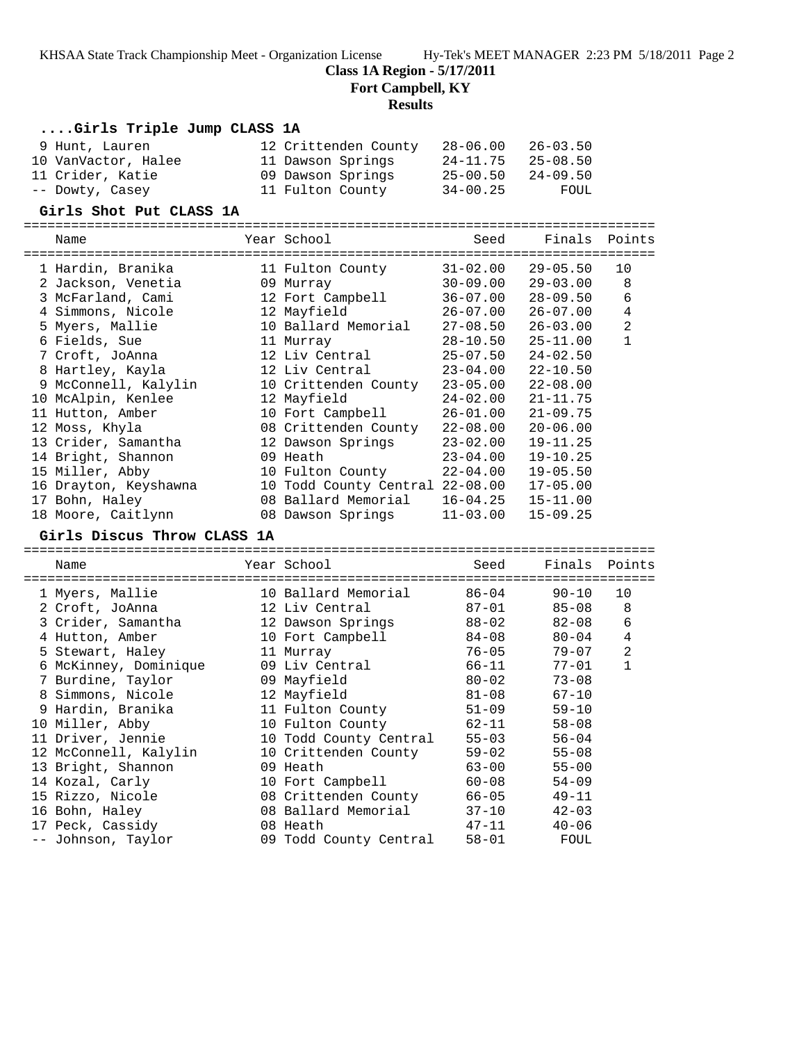**Class 1A Region - 5/17/2011**

**Fort Campbell, KY**

#### **Results**

#### **....Girls Triple Jump CLASS 1A**

| 9 Hunt, Lauren      | 12 Crittenden County | 28-06.00     | $26 - 03.50$ |
|---------------------|----------------------|--------------|--------------|
| 10 VanVactor, Halee | 11 Dawson Springs    | 24-11.75     | $25 - 08.50$ |
| 11 Crider, Katie    | 09 Dawson Springs    | $25 - 00.50$ | $24 - 09.50$ |
| -- Dowty, Casey     | 11 Fulton County     | $34 - 00.25$ | FOUL         |

#### **Girls Shot Put CLASS 1A**

================================================================================

| Name<br>=========================== | Year School                     | Seed         | Finals       | Points         |
|-------------------------------------|---------------------------------|--------------|--------------|----------------|
| 1 Hardin, Branika                   | 11 Fulton County                | $31 - 02.00$ | $29 - 05.50$ | 10             |
| 2 Jackson, Venetia                  | 09 Murray                       | $30 - 09.00$ | $29 - 03.00$ | 8              |
| 3 McFarland, Cami                   | 12 Fort Campbell                | $36 - 07.00$ | $28 - 09.50$ | 6              |
| 4 Simmons, Nicole                   | 12 Mayfield                     | $26 - 07.00$ | $26 - 07.00$ | $\overline{4}$ |
| 5 Myers, Mallie                     | 10 Ballard Memorial             | $27 - 08.50$ | $26 - 03.00$ | $\overline{a}$ |
| 6 Fields, Sue                       | 11 Murray                       | 28-10.50     | $25 - 11.00$ | 1              |
| 7 Croft, JoAnna                     | 12 Liv Central                  | $25 - 07.50$ | $24 - 02.50$ |                |
| 8 Hartley, Kayla                    | 12 Liv Central                  | $23 - 04.00$ | $22 - 10.50$ |                |
| 9 McConnell, Kalylin                | 10 Crittenden County            | $23 - 05.00$ | $22 - 08.00$ |                |
| 10 McAlpin, Kenlee                  | 12 Mayfield                     | $24 - 02.00$ | $21 - 11.75$ |                |
| 11 Hutton, Amber                    | 10 Fort Campbell                | 26-01.00     | $21 - 09.75$ |                |
| 12 Moss, Khyla                      | 08 Crittenden County            | $22 - 08.00$ | $20 - 06.00$ |                |
| 13 Crider, Samantha                 | 12 Dawson Springs               | $23 - 02.00$ | $19 - 11.25$ |                |
| 14 Bright, Shannon                  | 09 Heath                        | $23 - 04.00$ | $19 - 10.25$ |                |
| 15 Miller, Abby                     | 10 Fulton County                | $22 - 04.00$ | $19 - 05.50$ |                |
| 16 Drayton, Keyshawna               | 10 Todd County Central 22-08.00 |              | $17 - 05.00$ |                |
| 17 Bohn, Haley                      | 08 Ballard Memorial             | $16 - 04.25$ | $15 - 11.00$ |                |
| 18 Moore, Caitlynn                  | 08 Dawson Springs               | $11 - 03.00$ | $15 - 09.25$ |                |

#### **Girls Discus Throw CLASS 1A**

================================================================================ Name The Year School Seed Finals Points ================================================================================ 1 Myers, Mallie 10 Ballard Memorial 86-04 90-10 10 2 Croft, JoAnna 12 Liv Central 87-01 85-08 8 3 Crider, Samantha 12 Dawson Springs 88-02 82-08 6 4 Hutton, Amber 10 Fort Campbell 84-08 80-04 4 5 Stewart, Haley 11 Murray 76-05 79-07 2 6 McKinney, Dominique 09 Liv Central 66-11 77-01 1 7 Burdine, Taylor 09 Mayfield 80-02 73-08 8 Simmons, Nicole 12 Mayfield 81-08 67-10 9 Hardin, Branika 11 Fulton County 51-09 59-10 10 Miller, Abby 10 Fulton County 62-11 58-08 11 Driver, Jennie 10 Todd County Central 55-03 56-04 12 McConnell, Kalylin 10 Crittenden County 59-02 55-08 13 Bright, Shannon 09 Heath 63-00 55-00 14 Kozal, Carly 10 Fort Campbell 60-08 54-09 15 Rizzo, Nicole 08 Crittenden County 66-05 49-11 16 Bohn, Haley 08 Ballard Memorial 37-10 42-03 17 Peck, Cassidy 08 Heath 47-11 40-06 -- Johnson, Taylor 09 Todd County Central 58-01 FOUL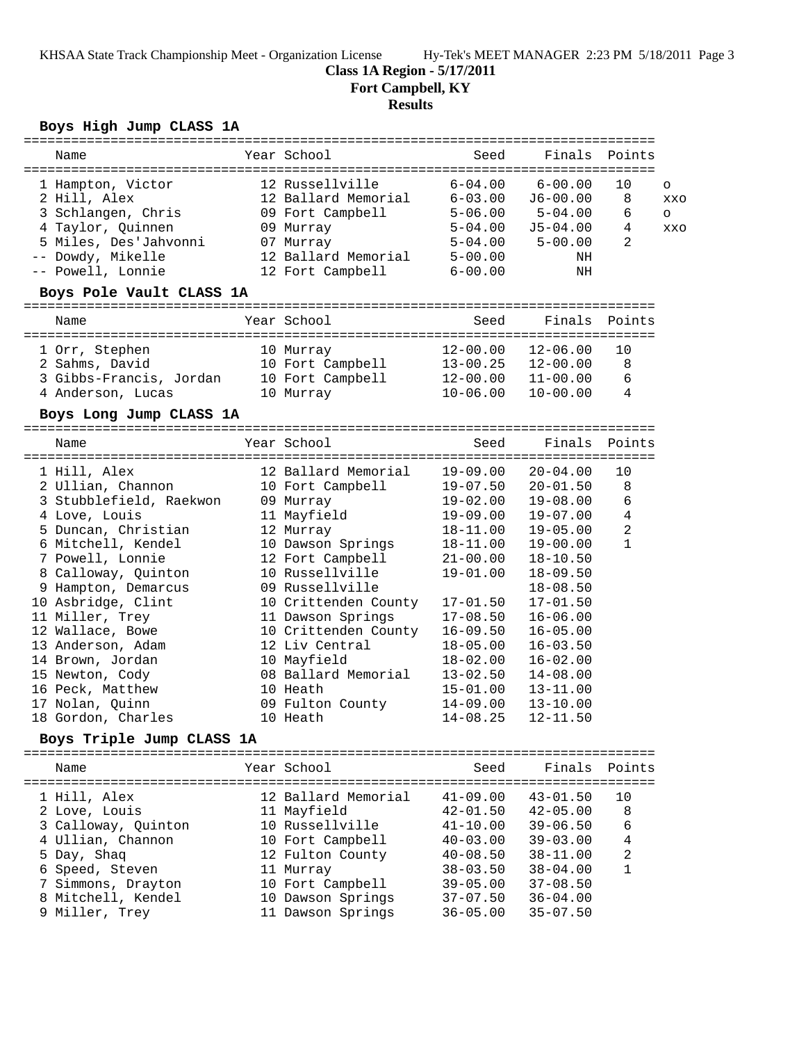#### **Class 1A Region - 5/17/2011**

**Fort Campbell, KY**

# **Results**

## **Boys High Jump CLASS 1A**

|                          | Name                                                                                                        |  | Year School                                                                      | Seed Finals Points       |              |                                |         |  |  |  |  |
|--------------------------|-------------------------------------------------------------------------------------------------------------|--|----------------------------------------------------------------------------------|--------------------------|--------------|--------------------------------|---------|--|--|--|--|
|                          | 1 Hampton, Victor 12 Russellville                                                                           |  |                                                                                  | $6-04.00$ $6-00.00$      |              | 10                             | $\circ$ |  |  |  |  |
|                          | 2 Hill, Alex                                                                                                |  | 12 Ballard Memorial 6-03.00 J6-00.00                                             |                          |              | 8                              | XXO     |  |  |  |  |
|                          | 3 Schlangen, Chris                                                                                          |  | 09 Fort Campbell 5-06.00 5-04.00                                                 |                          |              | 6                              | $\circ$ |  |  |  |  |
|                          | 4 Taylor, Quinnen                                                                                           |  |                                                                                  | $5 - 04.00$ $J5 - 04.00$ |              | 4                              | XXO     |  |  |  |  |
|                          | 4 Taylor, Quinnen<br>5 Miles, Des'Jahvonni                                                                  |  | 09 Murray<br>07 Murray                                                           | $5-04.00$ $5-00.00$      |              | 2                              |         |  |  |  |  |
|                          | -- Dowdy, Mikelle                                                                                           |  | 12 Ballard Memorial 5-00.00                                                      |                          | NH           |                                |         |  |  |  |  |
|                          | -- Powell, Lonnie 12 Fort Campbell 6-00.00                                                                  |  |                                                                                  |                          | ΝH           |                                |         |  |  |  |  |
| Boys Pole Vault CLASS 1A |                                                                                                             |  |                                                                                  |                          |              |                                |         |  |  |  |  |
|                          | Name                                                                                                        |  | Year School                                                                      | Seed                     |              | Finals Points                  |         |  |  |  |  |
|                          |                                                                                                             |  |                                                                                  |                          |              |                                |         |  |  |  |  |
|                          | 1 Orr, Stephen                                                                                              |  | 10 Murray                                                                        | 12-00.00 12-06.00        |              | 10                             |         |  |  |  |  |
|                          | 2 Sahms, David                                                                                              |  | 10 Fort Campbell 13-00.25 12-00.00                                               |                          |              | 8                              |         |  |  |  |  |
|                          |                                                                                                             |  |                                                                                  |                          |              | 6                              |         |  |  |  |  |
|                          | 3 Gibbs-Francis, Jordan 10 Fort Campbell 12-00.00 11-00.00<br>4 Anderson, Lucas 10 Murray 10-06.00 10-00.00 |  |                                                                                  | $10-06.00$ $10-00.00$ 4  |              |                                |         |  |  |  |  |
|                          | Boys Long Jump CLASS 1A                                                                                     |  |                                                                                  |                          |              |                                |         |  |  |  |  |
|                          |                                                                                                             |  |                                                                                  |                          |              |                                |         |  |  |  |  |
|                          | Name                                                                                                        |  | Year School                                                                      | Seed                     |              | Finals Points                  |         |  |  |  |  |
|                          | 1 Hill, Alex                                                                                                |  |                                                                                  |                          |              | 10                             |         |  |  |  |  |
|                          |                                                                                                             |  |                                                                                  |                          |              | 8                              |         |  |  |  |  |
|                          |                                                                                                             |  |                                                                                  |                          | 19-08.00     |                                |         |  |  |  |  |
|                          | 3 Stubblefield, Raekwon 09 Murray 19-02.00                                                                  |  | 11 Mayfield 19-09.00                                                             |                          |              | 6<br>$\overline{4}$            |         |  |  |  |  |
|                          | 4 Love, Louis                                                                                               |  |                                                                                  |                          | 19-07.00     |                                |         |  |  |  |  |
|                          | 5 Duncan, Christian                                                                                         |  | 12 Murray                                                                        | 18-11.00                 | $19 - 05.00$ | $\overline{2}$<br>$\mathbf{1}$ |         |  |  |  |  |
|                          | 6 Mitchell, Kendel                                                                                          |  | 10 Dawson Springs<br>12 Fort Campbell                                            | 18-11.00                 | 19-00.00     |                                |         |  |  |  |  |
|                          | 7 Powell, Lonnie                                                                                            |  |                                                                                  | $21-00.00$               | 18-10.50     |                                |         |  |  |  |  |
|                          | 8 Calloway, Quinton                                                                                         |  | 10 Russellville                                                                  | $19 - 01.00$             | $18 - 09.50$ |                                |         |  |  |  |  |
|                          | 9 Hampton, Demarcus                                                                                         |  | 09 Russellville                                                                  |                          | $18 - 08.50$ |                                |         |  |  |  |  |
|                          | 10 Asbridge, Clint                                                                                          |  | 10 Crittenden County                                                             | 17-01.50                 | $17 - 01.50$ |                                |         |  |  |  |  |
|                          | 11 Miller, Trey                                                                                             |  | 11 Dawson Springs                                                                | $17 - 08.50$             | $16 - 06.00$ |                                |         |  |  |  |  |
|                          | 12 Wallace, Bowe                                                                                            |  | 10 Crittenden County 16-09.50<br>12 Liv Central 18-05.00<br>10 Mayfield 18-02.00 |                          | $16 - 05.00$ |                                |         |  |  |  |  |
|                          | 13 Anderson, Adam                                                                                           |  |                                                                                  |                          | $16 - 03.50$ |                                |         |  |  |  |  |
|                          | 14 Brown, Jordan                                                                                            |  |                                                                                  |                          | $16 - 02.00$ |                                |         |  |  |  |  |
|                          | 15 Newton, Cody                                                                                             |  | 08 Ballard Memorial 13-02.50                                                     |                          | $14 - 08.00$ |                                |         |  |  |  |  |
|                          | 16 Peck, Matthew                                                                                            |  | 10 Heath                                                                         | $15 - 01.00$             | $13 - 11.00$ |                                |         |  |  |  |  |
|                          | 17 Nolan, Quinn                                                                                             |  | 09 Fulton County                                                                 | 14-09.00                 | $13 - 10.00$ |                                |         |  |  |  |  |
|                          | 18 Gordon, Charles                                                                                          |  | 10 Heath                                                                         | $14 - 08.25$             | $12 - 11.50$ |                                |         |  |  |  |  |
|                          | Boys Triple Jump CLASS 1A                                                                                   |  |                                                                                  |                          |              |                                |         |  |  |  |  |
|                          | Name                                                                                                        |  | Year School                                                                      | Seed                     | Finals       | Points                         |         |  |  |  |  |
|                          | 1 Hill, Alex                                                                                                |  | 12 Ballard Memorial                                                              | $41 - 09.00$             | $43 - 01.50$ | 10                             |         |  |  |  |  |
|                          |                                                                                                             |  |                                                                                  | $42 - 01.50$             | $42 - 05.00$ | 8                              |         |  |  |  |  |
|                          | 2 Love, Louis<br>3 Calloway, Quinton                                                                        |  | 11 Mayfield<br>10 Russellville                                                   | $41 - 10.00$             | $39 - 06.50$ | 6                              |         |  |  |  |  |
|                          |                                                                                                             |  |                                                                                  |                          |              |                                |         |  |  |  |  |
|                          | 4 Ullian, Channon                                                                                           |  | 10 Fort Campbell                                                                 | $40 - 03.00$             | $39 - 03.00$ | 4                              |         |  |  |  |  |
|                          | 5 Day, Shaq                                                                                                 |  | 12 Fulton County                                                                 | $40 - 08.50$             | $38 - 11.00$ | 2                              |         |  |  |  |  |
|                          | 6 Speed, Steven                                                                                             |  | 11 Murray                                                                        | $38 - 03.50$             | $38 - 04.00$ | $\mathbf{1}$                   |         |  |  |  |  |
|                          | 7 Simmons, Drayton                                                                                          |  | 10 Fort Campbell                                                                 | $39 - 05.00$             | $37 - 08.50$ |                                |         |  |  |  |  |
|                          | 8 Mitchell, Kendel                                                                                          |  | 10 Dawson Springs                                                                | $37 - 07.50$             | $36 - 04.00$ |                                |         |  |  |  |  |
|                          | 9 Miller, Trey                                                                                              |  | 11 Dawson Springs                                                                | $36 - 05.00$             | $35 - 07.50$ |                                |         |  |  |  |  |